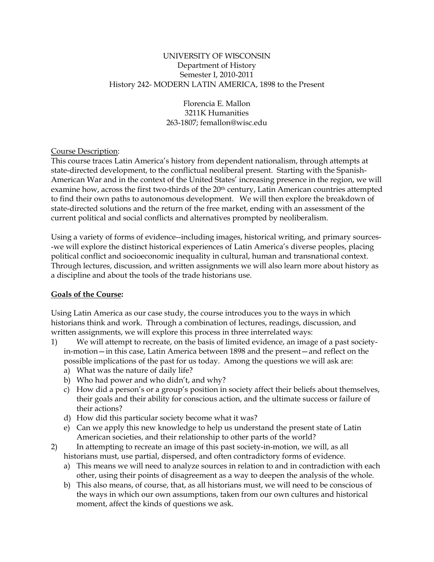#### UNIVERSITY OF WISCONSIN Department of History Semester I, 2010-2011 History 242- MODERN LATIN AMERICA, 1898 to the Present

Florencia E. Mallon 3211K Humanities 263-1807; femallon@wisc.edu

## Course Description:

This course traces Latin America's history from dependent nationalism, through attempts at state-directed development, to the conflictual neoliberal present. Starting with the Spanish-American War and in the context of the United States' increasing presence in the region, we will examine how, across the first two-thirds of the 20<sup>th</sup> century, Latin American countries attempted to find their own paths to autonomous development. We will then explore the breakdown of state-directed solutions and the return of the free market, ending with an assessment of the current political and social conflicts and alternatives prompted by neoliberalism.

Using a variety of forms of evidence--including images, historical writing, and primary sources- -we will explore the distinct historical experiences of Latin America's diverse peoples, placing political conflict and socioeconomic inequality in cultural, human and transnational context. Through lectures, discussion, and written assignments we will also learn more about history as a discipline and about the tools of the trade historians use.

## **Goals of the Course:**

Using Latin America as our case study, the course introduces you to the ways in which historians think and work. Through a combination of lectures, readings, discussion, and written assignments, we will explore this process in three interrelated ways:

- 1) We will attempt to recreate, on the basis of limited evidence, an image of a past societyin-motion—in this case, Latin America between 1898 and the present—and reflect on the possible implications of the past for us today. Among the questions we will ask are:
	- a) What was the nature of daily life?
	- b) Who had power and who didn't, and why?
	- c) How did a person's or a group's position in society affect their beliefs about themselves, their goals and their ability for conscious action, and the ultimate success or failure of their actions?
	- d) How did this particular society become what it was?
	- e) Can we apply this new knowledge to help us understand the present state of Latin American societies, and their relationship to other parts of the world?
- 2) In attempting to recreate an image of this past society-in-motion, we will, as all historians must, use partial, dispersed, and often contradictory forms of evidence.
	- a) This means we will need to analyze sources in relation to and in contradiction with each other, using their points of disagreement as a way to deepen the analysis of the whole.
	- b) This also means, of course, that, as all historians must, we will need to be conscious of the ways in which our own assumptions, taken from our own cultures and historical moment, affect the kinds of questions we ask.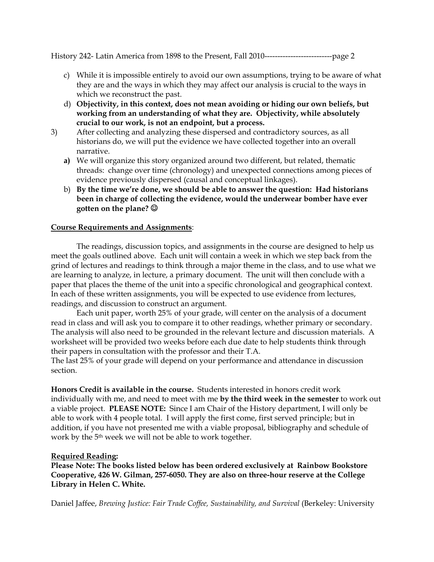- c) While it is impossible entirely to avoid our own assumptions, trying to be aware of what they are and the ways in which they may affect our analysis is crucial to the ways in which we reconstruct the past.
- d) **Objectivity, in this context, does not mean avoiding or hiding our own beliefs, but working from an understanding of what they are. Objectivity, while absolutely crucial to our work, is not an endpoint, but a process.**
- 3) After collecting and analyzing these dispersed and contradictory sources, as all historians do, we will put the evidence we have collected together into an overall narrative.
	- **a)** We will organize this story organized around two different, but related, thematic threads: change over time (chronology) and unexpected connections among pieces of evidence previously dispersed (causal and conceptual linkages).
	- b) **By the time we're done, we should be able to answer the question: Had historians been in charge of collecting the evidence, would the underwear bomber have ever gotten on the plane?**

## **Course Requirements and Assignments**:

The readings, discussion topics, and assignments in the course are designed to help us meet the goals outlined above. Each unit will contain a week in which we step back from the grind of lectures and readings to think through a major theme in the class, and to use what we are learning to analyze, in lecture, a primary document. The unit will then conclude with a paper that places the theme of the unit into a specific chronological and geographical context. In each of these written assignments, you will be expected to use evidence from lectures, readings, and discussion to construct an argument.

Each unit paper, worth 25% of your grade, will center on the analysis of a document read in class and will ask you to compare it to other readings, whether primary or secondary. The analysis will also need to be grounded in the relevant lecture and discussion materials. A worksheet will be provided two weeks before each due date to help students think through their papers in consultation with the professor and their T.A.

The last 25% of your grade will depend on your performance and attendance in discussion section.

**Honors Credit is available in the course.** Students interested in honors credit work individually with me, and need to meet with me **by the third week in the semester** to work out a viable project. **PLEASE NOTE:** Since I am Chair of the History department, I will only be able to work with 4 people total. I will apply the first come, first served principle; but in addition, if you have not presented me with a viable proposal, bibliography and schedule of work by the 5th week we will not be able to work together.

#### **Required Reading:**

**Please Note: The books listed below has been ordered exclusively at Rainbow Bookstore Cooperative, 426 W. Gilman, 257-6050. They are also on three-hour reserve at the College Library in Helen C. White.** 

Daniel Jaffee, *Brewing Justice: Fair Trade Coffee, Sustainability, and Survival* (Berkeley: University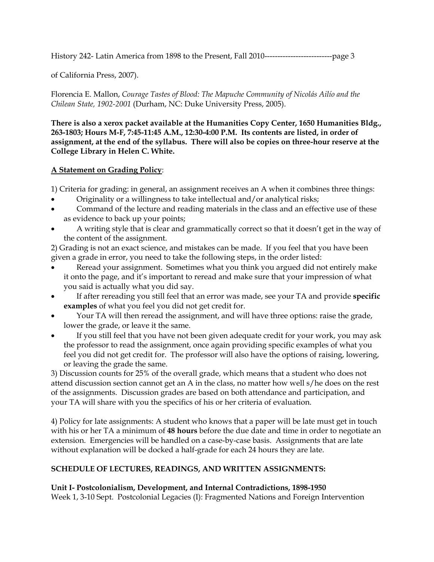of California Press, 2007).

Florencia E. Mallon, *Courage Tastes of Blood: The Mapuche Community of Nicolás Ailío and the Chilean State, 1902-2001* (Durham, NC: Duke University Press, 2005).

**There is also a xerox packet available at the Humanities Copy Center, 1650 Humanities Bldg., 263-1803; Hours M-F, 7:45-11:45 A.M., 12:30-4:00 P.M. Its contents are listed, in order of assignment, at the end of the syllabus. There will also be copies on three-hour reserve at the College Library in Helen C. White.**

# **A Statement on Grading Policy**:

1) Criteria for grading: in general, an assignment receives an A when it combines three things:

- Originality or a willingness to take intellectual and/or analytical risks;
- Command of the lecture and reading materials in the class and an effective use of these as evidence to back up your points;
- A writing style that is clear and grammatically correct so that it doesn't get in the way of the content of the assignment.

2) Grading is not an exact science, and mistakes can be made. If you feel that you have been given a grade in error, you need to take the following steps, in the order listed:

- Reread your assignment. Sometimes what you think you argued did not entirely make it onto the page, and it's important to reread and make sure that your impression of what you said is actually what you did say.
- If after rereading you still feel that an error was made, see your TA and provide **specific examples** of what you feel you did not get credit for.
- Your TA will then reread the assignment, and will have three options: raise the grade, lower the grade, or leave it the same.
- If you still feel that you have not been given adequate credit for your work, you may ask the professor to read the assignment, once again providing specific examples of what you feel you did not get credit for. The professor will also have the options of raising, lowering, or leaving the grade the same.

3) Discussion counts for 25% of the overall grade, which means that a student who does not attend discussion section cannot get an A in the class, no matter how well s/he does on the rest of the assignments. Discussion grades are based on both attendance and participation, and your TA will share with you the specifics of his or her criteria of evaluation.

4) Policy for late assignments: A student who knows that a paper will be late must get in touch with his or her TA a minimum of **48 hours** before the due date and time in order to negotiate an extension. Emergencies will be handled on a case-by-case basis. Assignments that are late without explanation will be docked a half-grade for each 24 hours they are late.

# **SCHEDULE OF LECTURES, READINGS, AND WRITTEN ASSIGNMENTS:**

## **Unit I- Postcolonialism, Development, and Internal Contradictions, 1898-1950**

Week 1, 3-10 Sept. Postcolonial Legacies (I): Fragmented Nations and Foreign Intervention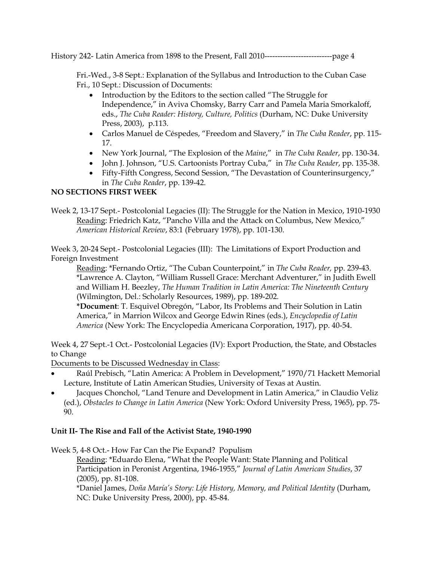Fri.-Wed., 3-8 Sept.: Explanation of the Syllabus and Introduction to the Cuban Case Fri., 10 Sept.: Discussion of Documents:

- Introduction by the Editors to the section called "The Struggle for Independence," in Aviva Chomsky, Barry Carr and Pamela Maria Smorkaloff, eds., *The Cuba Reader: History, Culture, Politics* (Durham, NC: Duke University Press, 2003), p.113.
- Carlos Manuel de Céspedes, "Freedom and Slavery," in *The Cuba Reader*, pp. 115- 17.
- New York Journal, "The Explosion of the *Maine*," in *The Cuba Reader*, pp. 130-34.
- John J. Johnson, "U.S. Cartoonists Portray Cuba," in *The Cuba Reader*, pp. 135-38.
- Fifty-Fifth Congress, Second Session, "The Devastation of Counterinsurgency," in *The Cuba Reader*, pp. 139-42.

## **NO SECTIONS FIRST WEEK**

Week 2, 13-17 Sept.- Postcolonial Legacies (II): The Struggle for the Nation in Mexico, 1910-1930 Reading: Friedrich Katz, "Pancho Villa and the Attack on Columbus, New Mexico," *American Historical Review*, 83:1 (February 1978), pp. 101-130.

Week 3, 20-24 Sept.- Postcolonial Legacies (III): The Limitations of Export Production and Foreign Investment

Reading: \*Fernando Ortiz, "The Cuban Counterpoint," in *The Cuba Reader,* pp. 239-43. \*Lawrence A. Clayton, "William Russell Grace: Merchant Adventurer," in Judith Ewell and William H. Beezley, *The Human Tradition in Latin America: The Nineteenth Century* (Wilmington, Del.: Scholarly Resources, 1989), pp. 189-202.

**\*Document**: T. Esquivel Obregón, "Labor, Its Problems and Their Solution in Latin America," in Marrion Wilcox and George Edwin Rines (eds.), *Encyclopedia of Latin America* (New York: The Encyclopedia Americana Corporation, 1917), pp. 40-54.

Week 4, 27 Sept.-1 Oct.- Postcolonial Legacies (IV): Export Production, the State, and Obstacles to Change

Documents to be Discussed Wednesday in Class:

- Raúl Prebisch, "Latin America: A Problem in Development," 1970/71 Hackett Memorial Lecture, Institute of Latin American Studies, University of Texas at Austin.
- Jacques Chonchol, "Land Tenure and Development in Latin America," in Claudio Veliz (ed.), *Obstacles to Change in Latin America* (New York: Oxford University Press, 1965), pp. 75- 90.

## **Unit II- The Rise and Fall of the Activist State, 1940-1990**

Week 5, 4-8 Oct.- How Far Can the Pie Expand? Populism

Reading: \*Eduardo Elena, "What the People Want: State Planning and Political Participation in Peronist Argentina, 1946-1955," *Journal of Latin American Studies*, 37 (2005), pp. 81-108.

\*Daniel James, *Doña María's Story: Life History, Memory, and Political Identity* (Durham, NC: Duke University Press, 2000), pp. 45-84.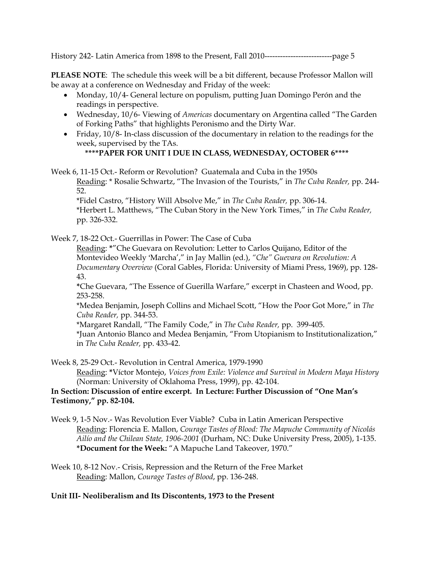**PLEASE NOTE**: The schedule this week will be a bit different, because Professor Mallon will be away at a conference on Wednesday and Friday of the week:

- Monday, 10/4- General lecture on populism, putting Juan Domingo Perón and the readings in perspective.
- Wednesday, 10/6- Viewing of *Americas* documentary on Argentina called "The Garden of Forking Paths" that highlights Peronismo and the Dirty War.
- Friday, 10/8- In-class discussion of the documentary in relation to the readings for the week, supervised by the TAs.

## **\*\*\*\*PAPER FOR UNIT I DUE IN CLASS, WEDNESDAY, OCTOBER 6\*\*\*\***

Week 6, 11-15 Oct.- Reform or Revolution? Guatemala and Cuba in the 1950s Reading: \* Rosalie Schwartz, "The Invasion of the Tourists," in *The Cuba Reader,* pp. 244- 52.

\*Fidel Castro, "History Will Absolve Me," in *The Cuba Reader,* pp. 306-14. \*Herbert L. Matthews, "The Cuban Story in the New York Times," in *The Cuba Reader,* pp. 326-332.

Week 7, 18-22 Oct.- Guerrillas in Power: The Case of Cuba

Reading: **\***"Che Guevara on Revolution: Letter to Carlos Quijano, Editor of the Montevideo Weekly 'Marcha'," in Jay Mallin (ed.), "Che" Guevara on Revolution: A *Documentary Overview* (Coral Gables, Florida: University of Miami Press, 1969), pp. 128- 43.

**\***Che Guevara, "The Essence of Guerilla Warfare," excerpt in Chasteen and Wood, pp. 253-258.

\*Medea Benjamin, Joseph Collins and Michael Scott, "How the Poor Got More," in *The Cuba Reader,* pp. 344-53.

\*Margaret Randall, "The Family Code," in *The Cuba Reader,* pp. 399-405. \*Juan Antonio Blanco and Medea Benjamin, "From Utopianism to Institutionalization," in *The Cuba Reader,* pp. 433-42.

Week 8, 25-29 Oct.- Revolution in Central America, 1979-1990

Reading: **\***Víctor Montejo, *Voices from Exile: Violence and Survival in Modern Maya History* (Norman: University of Oklahoma Press, 1999), pp. 42-104.

## **In Section: Discussion of entire excerpt. In Lecture: Further Discussion of "One Man's Testimony," pp. 82-104.**

- Week 9, 1-5 Nov.- Was Revolution Ever Viable? Cuba in Latin American Perspective Reading: Florencia E. Mallon, *Courage Tastes of Blood: The Mapuche Community of Nicolás Ailío and the Chilean State, 1906-2001* (Durham, NC: Duke University Press, 2005), 1-135. **\*Document for the Week:** "A Mapuche Land Takeover, 1970."
- Week 10, 8-12 Nov.- Crisis, Repression and the Return of the Free Market Reading: Mallon, *Courage Tastes of Blood*, pp. 136-248.

# **Unit III- Neoliberalism and Its Discontents, 1973 to the Present**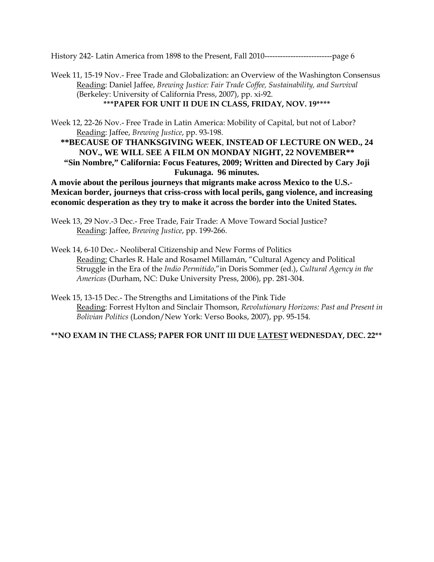Week 11, 15-19 Nov.- Free Trade and Globalization: an Overview of the Washington Consensus Reading: Daniel Jaffee, *Brewing Justice: Fair Trade Coffee, Sustainability, and Survival* (Berkeley: University of California Press, 2007), pp. xi-92. **\*\*\*PAPER FOR UNIT II DUE IN CLASS, FRIDAY, NOV. 19\*\*\*\*** 

Week 12, 22-26 Nov.- Free Trade in Latin America: Mobility of Capital, but not of Labor? Reading: Jaffee, *Brewing Justice*, pp. 93-198.

**\*\*BECAUSE OF THANKSGIVING WEEK**, **INSTEAD OF LECTURE ON WED., 24 NOV., WE WILL SEE A FILM ON MONDAY NIGHT, 22 NOVEMBER\*\* "Sin Nombre," California: Focus Features, 2009; Written and Directed by Cary Joji Fukunaga. 96 minutes.** 

**A movie about the perilous journeys that migrants make across Mexico to the U.S.- Mexican border, journeys that criss-cross with local perils, gang violence, and increasing economic desperation as they try to make it across the border into the United States.**

- Week 13, 29 Nov.-3 Dec.- Free Trade, Fair Trade: A Move Toward Social Justice? Reading: Jaffee, *Brewing Justice*, pp. 199-266.
- Week 14, 6-10 Dec.- Neoliberal Citizenship and New Forms of Politics Reading: Charles R. Hale and Rosamel Millamán, "Cultural Agency and Political Struggle in the Era of the *Indio Permitido*,"in Doris Sommer (ed.), *Cultural Agency in the Americas* (Durham, NC: Duke University Press, 2006), pp. 281-304.
- Week 15, 13-15 Dec.- The Strengths and Limitations of the Pink Tide Reading: Forrest Hylton and Sinclair Thomson, *Revolutionary Horizons: Past and Present in Bolivian Politics* (London/New York: Verso Books, 2007), pp. 95-154.

## **\*\*NO EXAM IN THE CLASS; PAPER FOR UNIT III DUE LATEST WEDNESDAY, DEC. 22\*\***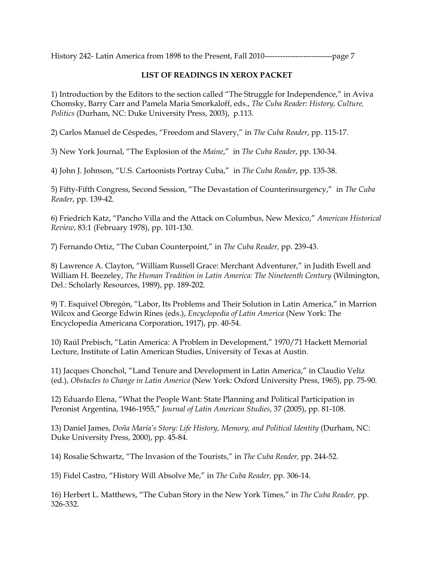## **LIST OF READINGS IN XEROX PACKET**

1) Introduction by the Editors to the section called "The Struggle for Independence," in Aviva Chomsky, Barry Carr and Pamela Maria Smorkaloff, eds., *The Cuba Reader: History, Culture, Politics* (Durham, NC: Duke University Press, 2003), p.113.

2) Carlos Manuel de Céspedes, "Freedom and Slavery," in *The Cuba Reader*, pp. 115-17.

3) New York Journal, "The Explosion of the *Maine*," in *The Cuba Reader*, pp. 130-34.

4) John J. Johnson, "U.S. Cartoonists Portray Cuba," in *The Cuba Reader*, pp. 135-38.

5) Fifty-Fifth Congress, Second Session, "The Devastation of Counterinsurgency," in *The Cuba Reader*, pp. 139-42.

6) Friedrich Katz, "Pancho Villa and the Attack on Columbus, New Mexico," *American Historical Review*, 83:1 (February 1978), pp. 101-130.

7) Fernando Ortiz, "The Cuban Counterpoint," in *The Cuba Reader,* pp. 239-43.

8) Lawrence A. Clayton, "William Russell Grace: Merchant Adventurer," in Judith Ewell and William H. Beezeley, *The Human Tradition in Latin America: The Nineteenth Century* (Wilmington, Del.: Scholarly Resources, 1989), pp. 189-202.

9) T. Esquivel Obregón, "Labor, Its Problems and Their Solution in Latin America," in Marrion Wilcox and George Edwin Rines (eds.), *Encyclopedia of Latin America* (New York: The Encyclopedia Americana Corporation, 1917), pp. 40-54.

10) Raúl Prebisch, "Latin America: A Problem in Development," 1970/71 Hackett Memorial Lecture, Institute of Latin American Studies, University of Texas at Austin.

11) Jacques Chonchol, "Land Tenure and Development in Latin America," in Claudio Veliz (ed.), *Obstacles to Change in Latin America* (New York: Oxford University Press, 1965), pp. 75-90.

12) Eduardo Elena, "What the People Want: State Planning and Political Participation in Peronist Argentina, 1946-1955," *Journal of Latin American Studies*, 37 (2005), pp. 81-108.

13) Daniel James, *Doña María's Story: Life History, Memory, and Political Identity* (Durham, NC: Duke University Press, 2000), pp. 45-84.

14) Rosalie Schwartz, "The Invasion of the Tourists," in *The Cuba Reader,* pp. 244-52.

15) Fidel Castro, "History Will Absolve Me," in *The Cuba Reader,* pp. 306-14.

16) Herbert L. Matthews, "The Cuban Story in the New York Times," in *The Cuba Reader,* pp. 326-332.